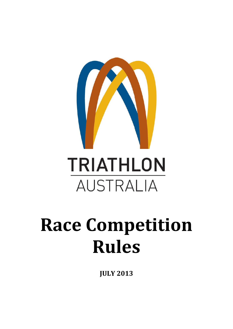

# **Race Competition Rules**

**JULY 2013**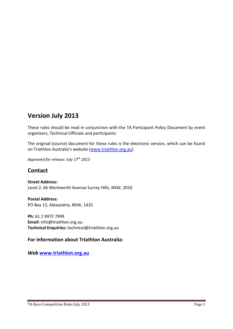## **Version July 2013**

These rules should be read in conjunction with the TA Participant Policy Document by event organisers, Technical Officials and participants.

The original (source) document for these rules is the electronic version, which can be found on Triathlon Australia's website ([www.triathlon.org.au\)](http://www.triathlon.org.au/).

*Approved for release: July 17th 2013*

## **Contact**

**Street Address:** Level 2, 66 Wentworth Avenue Surrey Hills, NSW, 2010

**Postal Address:**  PO Box 13, Alexandria, NSW, 1435

**Ph:** 61 2 9972 7999 **Email:** info@triathlon.org.au **Technical Enquiries:** technical@triathlon.org.au

#### **For information about Triathlon Australia:**

*Web* **[www.triathlon.org.au](http://www.triathlon.org.au/)**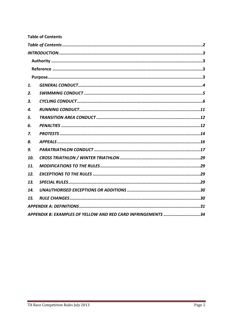<span id="page-2-0"></span>

|     | <b>Table of Contents</b>                                     |  |
|-----|--------------------------------------------------------------|--|
|     |                                                              |  |
|     |                                                              |  |
|     |                                                              |  |
|     |                                                              |  |
|     |                                                              |  |
| 1.  |                                                              |  |
| 2.  |                                                              |  |
| 3.  |                                                              |  |
| 4.  |                                                              |  |
| 5.  |                                                              |  |
| 6.  |                                                              |  |
| 7.  |                                                              |  |
| 8.  |                                                              |  |
| 9.  |                                                              |  |
| 10. |                                                              |  |
| 11. |                                                              |  |
| 12. |                                                              |  |
| 13. |                                                              |  |
| 14. |                                                              |  |
| 15. |                                                              |  |
|     |                                                              |  |
|     | APPENDIX B: EXAMPLES OF YELLOW AND RED CARD INFRINGEMENTS 34 |  |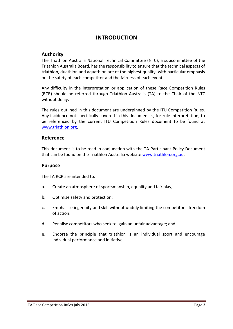## **INTRODUCTION**

#### <span id="page-3-1"></span><span id="page-3-0"></span>**Authority**

The Triathlon Australia National Technical Committee (NTC), a subcommittee of the Triathlon Australia Board, has the responsibility to ensure that the technical aspects of triathlon, duathlon and aquathlon are of the highest quality, with particular emphasis on the safety of each competitor and the fairness of each event.

Any difficulty in the interpretation or application of these Race Competition Rules (RCR) should be referred through Triathlon Australia (TA) to the Chair of the NTC without delay.

The rules outlined in this document are underpinned by the ITU Competition Rules. Any incidence not specifically covered in this document is, for rule interpretation, to be referenced by the current ITU Competition Rules document to be found at [www.triathlon.org.](http://www.triathlon.org/)

#### <span id="page-3-2"></span>**Reference**

This document is to be read in conjunction with the TA Participant Policy Document that can be found on the Triathlon Australia website [www.triathlon.org.au.](http://www.triathlon.org.au/)

#### <span id="page-3-3"></span>**Purpose**

The TA RCR are intended to:

- a. Create an atmosphere of sportsmanship, equality and fair play;
- b. Optimise safety and protection;
- c. Emphasise ingenuity and skill without unduly limiting the competitor's freedom of action;
- d. Penalise competitors who seek to gain an unfair advantage; and
- e. Endorse the principle that triathlon is an individual sport and encourage individual performance and initiative.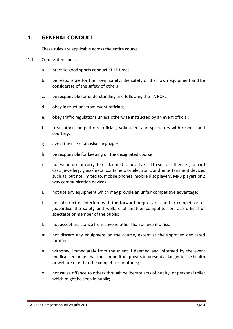## <span id="page-4-0"></span>**1. GENERAL CONDUCT**

These rules are applicable across the entire course.

- 1.1. Competitors must:
	- a. practise good sports conduct at all times;
	- b. be responsible for their own safety, the safety of their own equipment and be considerate of the safety of others;
	- c. be responsible for understanding and following the TA RCR;
	- d. obey instructions from event officials;
	- e. obey traffic regulations unless otherwise instructed by an event official;
	- f. treat other competitors, officials, volunteers and spectators with respect and courtesy;
	- g. avoid the use of abusive language;
	- h. be responsible for keeping on the designated course;
	- i. not wear, use or carry items deemed to be a hazard to self or others e.g. a hard cast, jewellery, glass/metal containers or electronic and entertainment devices such as, but not limited to, mobile phones, mobile disc players, MP3 players or 2 way communication devices;
	- j. not use any equipment which may provide an unfair competitive advantage;
	- k. not obstruct or interfere with the forward progress of another competitor, or jeopardise the safety and welfare of another competitor or race official or spectator or member of the public;
	- l. not accept assistance from anyone other than an event official;
	- m. not discard any equipment on the course, except at the approved dedicated locations;
	- n. withdraw immediately from the event if deemed and informed by the event medical personnel that the competitor appearsto present a danger to the health or welfare of either the competitor or others;
	- o. not cause offence to others through deliberate acts of nudity, or personal toilet which might be seen in public;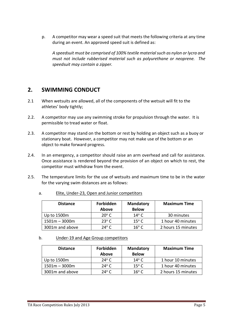p. A competitor may wear a speed suit that meets the following criteria at any time during an event. An approved speed suit is defined as:

*A speedsuit must be comprised of 100% textile material such as nylon or lycra and must not include rubberised material such as polyurethane or neoprene. The speedsuit may contain a zipper.*

## <span id="page-5-0"></span>**2. SWIMMING CONDUCT**

- 2.1 When wetsuits are allowed, all of the components of the wetsuit will fit to the athletes' body tightly;
- 2.2. A competitor may use any swimming stroke for propulsion through the water. It is permissible to tread water or float.
- 2.3. A competitor may stand on the bottom or rest by holding an object such as a buoy or stationary boat. However, a competitor may not make use of the bottom or an object to make forward progress.
- 2.4. In an emergency, a competitor should raise an arm overhead and call for assistance. Once assistance is rendered beyond the provision of an object on which to rest, the competitor must withdraw from the event.
- 2.5. The temperature limits for the use of wetsuits and maximum time to be in the water for the varying swim distances are as follows:

| Elite, Under-23, Open and Junior competitors<br>а. |  |
|----------------------------------------------------|--|
|----------------------------------------------------|--|

| <b>Distance</b> | Forbidden<br>Above | <b>Mandatory</b><br><b>Below</b> | <b>Maximum Time</b> |
|-----------------|--------------------|----------------------------------|---------------------|
| Up to 1500m     | $20^{\circ}$ C     | 14 $\rm ^{o}$ C                  | 30 minutes          |
| $1501m - 3000m$ | $23^{\circ}$ C     | 15 $\degree$ C                   | 1 hour 40 minutes   |
| 3001m and above | 24 $^{\circ}$ C    | 16 $^{\circ}$ C                  | 2 hours 15 minutes  |

#### b. Under-19 and Age Group competitors

| <b>Distance</b> | Forbidden<br><b>Above</b> | <b>Mandatory</b><br><b>Below</b> | <b>Maximum Time</b> |
|-----------------|---------------------------|----------------------------------|---------------------|
| Up to 1500m     | $24^{\circ}$ C            | 14 $^{\circ}$ C                  | 1 hour 10 minutes   |
| $1501m - 3000m$ | 24 $\degree$ C            | 15 $\degree$ C                   | 1 hour 40 minutes   |
| 3001m and above | 24 $\degree$ C            | 16 $^{\circ}$ C                  | 2 hours 15 minutes  |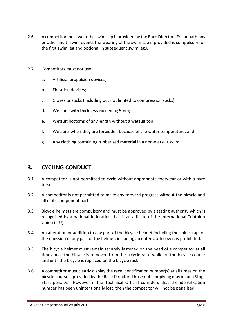- 2.6. A competitor must wear the swim cap if provided by the Race Director. For aquathlons or other multi-swim events the wearing of the swim cap if provided is compulsory for the first swim leg and optional in subsequent swim legs.
- 2.7. Competitors must not use:
	- a. Artificial propulsion devices;
	- b. Flotation devices;
	- c. Gloves or socks (including but not limited to compression socks);
	- d. Wetsuits with thickness exceeding 5mm;
	- e. Wetsuit bottoms of any length without a wetsuit top;
	- f. Wetsuits when they are forbidden because of the water temperature; and
	- g. Any clothing containing rubberised material in a non-wetsuit swim.

## <span id="page-6-0"></span>**3. CYCLING CONDUCT**

- 3.1 A competitor is not permitted to cycle without appropriate footwear or with a bare torso.
- 3.2 A competitor is not permitted to make any forward progress without the bicycle and all of its component parts.
- 3.3 Bicycle helmets are compulsory and must be approved by a testing authority which is recognised by a national federation that is an affiliate of the International Triathlon Union (ITU).
- 3.4 An alteration or addition to any part of the bicycle helmet including the chin strap, or the omission of any part of the helmet, including an outer cloth cover, is prohibited.
- 3.5 The bicycle helmet must remain securely fastened on the head of a competitor at all times once the bicycle is removed from the bicycle rack, while on the bicycle course and until the bicycle is replaced on the bicycle rack.
- 3.6 A competitor must clearly display the race identification number(s) at all times on the bicycle course if provided by the Race Director. Those not complying may incur a Stop-Start penalty. However if the Technical Official considers that the identification number has been unintentionally lost, then the competitor will not be penalised.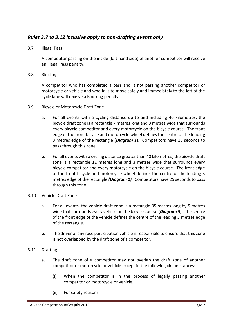#### *Rules 3.7 to 3.12 inclusive apply to non-drafting events only*

#### 3.7 Illegal Pass

A competitor passing on the inside (left hand side) of another competitor will receive an Illegal Pass penalty.

3.8 Blocking

A competitor who has completed a pass and is not passing another competitor or motorcycle or vehicle and who fails to move safely and immediately to the left of the cycle lane will receive a Blocking penalty.

#### 3.9 Bicycle or Motorcycle Draft Zone

- a. For all events with a cycling distance up to and including 40 kilometres, the bicycle draft zone is a rectangle 7 metres long and 3 metres wide that surrounds every bicycle competitor and every motorcycle on the bicycle course. The front edge of the front bicycle and motorcycle wheel defines the centre of the leading 3 metres edge of the rectangle (*Diagram 1*). Competitors have 15 seconds to pass through this zone.
- b. For all events with a cycling distance greater than 40 kilometres, the bicycle draft zone is a rectangle 12 metres long and 3 metres wide that surrounds every bicycle competitor and every motorcycle on the bicycle course. The front edge of the front bicycle and motorcycle wheel defines the centre of the leading 3 metres edge of the rectangle *(Diagram 1).* Competitors have 25 seconds to pass through this zone.

#### 3.10 Vehicle Draft Zone

- a. For all events, the vehicle draft zone is a rectangle 35 metres long by 5 metres wide that surrounds every vehicle on the bicycle course **(***Diagram 5***)**. The centre of the front edge of the vehicle defines the centre of the leading 5 metres edge of the rectangle.
- b. The driver of any race participation vehicle is responsible to ensure that this zone is not overlapped by the draft zone of a competitor.

#### 3.11 Drafting

- a. The draft zone of a competitor may not overlap the draft zone of another competitor or motorcycle or vehicle except in the following circumstances:
	- (i) When the competitor is in the process of legally passing another competitor or motorcycle or vehicle;
	- (ii) For safety reasons;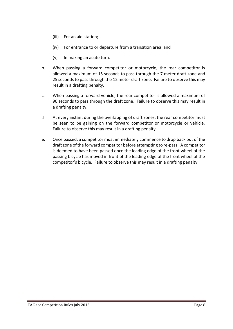- (iii) For an aid station;
- (iv) For entrance to or departure from a transition area; and
- (v) In making an acute turn.
- b. When passing a forward competitor or motorcycle, the rear competitor is allowed a maximum of 15 seconds to pass through the 7 meter draft zone and 25 seconds to pass through the 12 meter draft zone. Failure to observe this may result in a drafting penalty.
- c. When passing a forward vehicle, the rear competitor is allowed a maximum of 90 seconds to pass through the draft zone. Failure to observe this may result in a drafting penalty.
- d. At every instant during the overlapping of draft zones, the rear competitor must be seen to be gaining on the forward competitor or motorcycle or vehicle. Failure to observe this may result in a drafting penalty.
- e. Once passed, a competitor must immediately commence to drop back out of the draft zone of the forward competitor before attempting to re-pass. A competitor is deemed to have been passed once the leading edge of the front wheel of the passing bicycle has moved in front of the leading edge of the front wheel of the competitor's bicycle. Failure to observe this may result in a drafting penalty.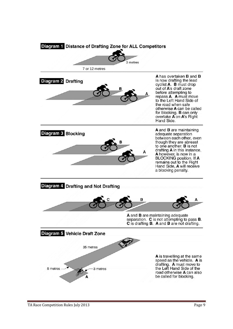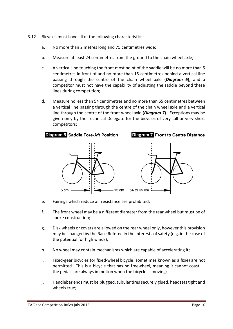- 3.12 Bicycles must have all of the following characteristics:
	- a. No more than 2 metres long and 75 centimetres wide;
	- b. Measure at least 24 centimetres from the ground to the chain wheel axle;
	- c. A vertical line touching the front most point of the saddle will be no more than 5 centimetres in front of and no more than 15 centimetres behind a vertical line passing through the centre of the chain wheel axle **(***Diagram 6***)**, and a competitor must not have the capability of adjusting the saddle beyond these lines during competition;
	- d. Measure no less than 54 centimetres and no more than 65 centimetres between a vertical line passing through the centre of the chain wheel axle and a vertical line through the centre of the front wheel axle **(***Diagram 7***).** Exceptions may be given only by the Technical Delegate for the bicycles of very tall or very short competitors;



- e. Fairings which reduce air resistance are prohibited;
- f. The front wheel may be a different diameter from the rear wheel but must be of spoke construction;
- g. Disk wheels or covers are allowed on the rear wheel only, however this provision may be changed by the Race Referee in the interests of safety (e.g. in the case of the potential for high winds);
- h. No wheel may contain mechanisms which are capable of accelerating it;
- i. Fixed-gear bicycles (or fixed-wheel bicycle, sometimes known as a fixie) are not permitted. This is a bicycle that has no freewheel, meaning it cannot coast the pedals are always in motion when the bicycle is moving;
- j. Handlebar ends must be plugged, tubular tires securely glued, headsets tight and wheels true;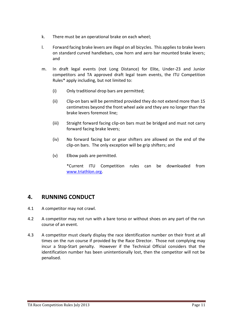- k. There must be an operational brake on each wheel;
- l. Forward facing brake levers are illegal on all bicycles. This applies to brake levers on standard curved handlebars, cow horn and aero bar mounted brake levers; and
- m. In draft legal events (not Long Distance) for Elite, Under-23 and Junior competitors and TA approved draft legal team events, the ITU Competition Rules\* apply including, but not limited to:
	- (i) Only traditional drop bars are permitted;
	- (ii) Clip-on bars will be permitted provided they do not extend more than 15 centimetres beyond the front wheel axle and they are no longer than the brake levers foremost line;
	- (iii) Straight forward facing clip-on bars must be bridged and must not carry forward facing brake levers;
	- (iv) No forward facing bar or gear shifters are allowed on the end of the clip-on bars. The only exception will be grip shifters; and
	- (v) Elbow pads are permitted.

\*Current ITU Competition rules can be downloaded from [www.triathlon.org.](http://www.triathlon.org/)

## <span id="page-11-0"></span>**4. RUNNING CONDUCT**

- 4.1 A competitor may not crawl.
- 4.2 A competitor may not run with a bare torso or without shoes on any part of the run course of an event.
- 4.3 A competitor must clearly display the race identification number on their front at all times on the run course if provided by the Race Director. Those not complying may incur a Stop-Start penalty. However if the Technical Official considers that the identification number has been unintentionally lost, then the competitor will not be penalised.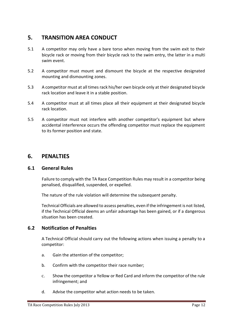## <span id="page-12-0"></span>**5. TRANSITION AREA CONDUCT**

- 5.1 A competitor may only have a bare torso when moving from the swim exit to their bicycle rack or moving from their bicycle rack to the swim entry, the latter in a multi swim event.
- 5.2 A competitor must mount and dismount the bicycle at the respective designated mounting and dismounting zones.
- 5.3 A competitor must at all times rack his/her own bicycle only at their designated bicycle rack location and leave it in a stable position.
- 5.4 A competitor must at all times place all their equipment at their designated bicycle rack location.
- 5.5 A competitor must not interfere with another competitor's equipment but where accidental interference occurs the offending competitor must replace the equipment to its former position and state.

## <span id="page-12-1"></span>**6. PENALTIES**

#### **6.1 General Rules**

Failure to comply with the TA Race Competition Rules may result in a competitor being penalised, disqualified, suspended, or expelled.

The nature of the rule violation will determine the subsequent penalty.

Technical Officials are allowed to assess penalties, even if the infringement is not listed, if the Technical Official deems an unfair advantage has been gained, or if a dangerous situation has been created.

#### **6.2 Notification of Penalties**

A Technical Official should carry out the following actions when issuing a penalty to a competitor:

- a. Gain the attention of the competitor;
- b. Confirm with the competitor their race number;
- c. Show the competitor a Yellow or Red Card and inform the competitor of the rule infringement; and
- d. Advise the competitor what action needs to be taken.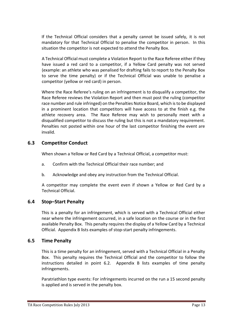If the Technical Official considers that a penalty cannot be issued safely, it is not mandatory for that Technical Official to penalise the competitor in person. In this situation the competitor is not expected to attend the Penalty Box.

A Technical Official must complete a Violation Report to the Race Referee either if they have issued a red card to a competitor, if a Yellow Card penalty was not served (example: an athlete who was penalised for drafting fails to report to the Penalty Box to serve the time penalty) or if the Technical Official was unable to penalise a competitor (yellow or red card) in person.

Where the Race Referee's ruling on an infringement is to disqualify a competitor, the Race Referee reviews the Violation Report and then must post the ruling (competitor race number and rule infringed) on the Penalties Notice Board, which is to be displayed in a prominent location that competitors will have access to at the finish e.g. the athlete recovery area. The Race Referee may wish to personally meet with a disqualified competitor to discuss the ruling but this is not a mandatory requirement. Penalties not posted within one hour of the last competitor finishing the event are invalid.

#### **6.3 Competitor Conduct**

When shown a Yellow or Red Card by a Technical Official, a competitor must:

- a. Confirm with the Technical Official their race number; and
- b. Acknowledge and obey any instruction from the Technical Official.

A competitor may complete the event even if shown a Yellow or Red Card by a Technical Official.

#### **6.4 Stop–Start Penalty**

This is a penalty for an infringement, which is served with a Technical Official either near where the infringement occurred, in a safe location on the course or in the first available Penalty Box. This penalty requires the display of a Yellow Card by a Technical Official. Appendix B lists examples of stop-start penalty infringements.

#### **6.5 Time Penalty**

This is a time penalty for an infringement, served with a Technical Official in a Penalty Box. This penalty requires the Technical Official and the competitor to follow the instructions detailed in point 6.2. Appendix B lists examples of time penalty infringements.

Paratriathlon type events: For infringements incurred on the run a 15 second penalty is applied and is served in the penalty box.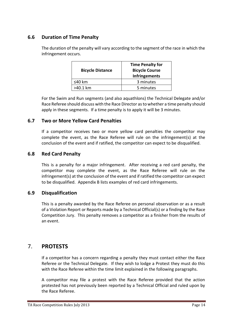#### **6.6 Duration of Time Penalty**

The duration of the penalty will vary according to the segment of the race in which the infringement occurs.

| <b>Bicycle Distance</b> | <b>Time Penalty for</b><br><b>Bicycle Course</b><br><b>Infringements</b> |
|-------------------------|--------------------------------------------------------------------------|
| ≤40 km                  | 3 minutes                                                                |
| $>40.1$ km              | 5 minutes                                                                |

For the Swim and Run segments (and also aquathlons) the Technical Delegate and/or Race Referee should discuss with the Race Director as to whether a time penalty should apply in these segments. If a time penalty is to apply it will be 3 minutes.

#### **6.7 Two or More Yellow Card Penalties**

If a competitor receives two or more yellow card penalties the competitor may complete the event, as the Race Referee will rule on the infringement(s) at the conclusion of the event and if ratified, the competitor can expect to be disqualified.

#### **6.8 Red Card Penalty**

This is a penalty for a major infringement. After receiving a red card penalty, the competitor may complete the event, as the Race Referee will rule on the infringement(s) at the conclusion of the event and if ratified the competitor can expect to be disqualified. Appendix B lists examples of red card infringements.

#### **6.9 Disqualification**

This is a penalty awarded by the Race Referee on personal observation or as a result of a Violation Report or Reports made by a Technical Official(s) or a finding by the Race Competition Jury. This penalty removes a competitor as a finisher from the results of an event.

## <span id="page-14-0"></span>7. **PROTESTS**

If a competitor has a concern regarding a penalty they must contact either the Race Referee or the Technical Delegate. If they wish to lodge a Protest they must do this with the Race Referee within the time limit explained in the following paragraphs.

A competitor may file a protest with the Race Referee provided that the action protested has not previously been reported by a Technical Official and ruled upon by the Race Referee.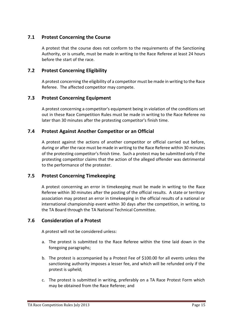#### **7.1 Protest Concerning the Course**

A protest that the course does not conform to the requirements of the Sanctioning Authority, or is unsafe, must be made in writing to the Race Referee at least 24 hours before the start of the race.

#### **7.2 Protest Concerning Eligibility**

A protest concerning the eligibility of a competitor must be made in writing to the Race Referee. The affected competitor may compete.

#### **7.3 Protest Concerning Equipment**

A protest concerning a competitor's equipment being in violation of the conditions set out in these Race Competition Rules must be made in writing to the Race Referee no later than 30 minutes after the protesting competitor's finish time.

#### **7.4 Protest Against Another Competitor or an Official**

A protest against the actions of another competitor or official carried out before, during or after the race must be made in writing to the Race Referee within 30 minutes of the protesting competitor's finish time. Such a protest may be submitted only if the protesting competitor claims that the action of the alleged offender was detrimental to the performance of the protester.

#### **7.5 Protest Concerning Timekeeping**

A protest concerning an error in timekeeping must be made in writing to the Race Referee within 30 minutes after the posting of the official results. A state or territory association may protest an error in timekeeping in the official results of a national or international championship event within 30 days after the competition, in writing, to the TA Board through the TA National Technical Committee.

#### **7.6 Consideration of a Protest**

A protest will not be considered unless:

- a. The protest is submitted to the Race Referee within the time laid down in the foregoing paragraphs;
- b. The protest is accompanied by a Protest Fee of \$100.00 for all events unless the sanctioning authority imposes a lesser fee, and which will be refunded only if the protest is upheld;
- c. The protest is submitted in writing, preferably on a TA Race Protest Form which may be obtained from the Race Referee; and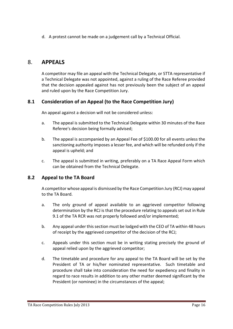d. A protest cannot be made on a judgement call by a Technical Official.

## <span id="page-16-0"></span>8. **APPEALS**

A competitor may file an appeal with the Technical Delegate, or STTA representative if a Technical Delegate was not appointed, against a ruling of the Race Referee provided that the decision appealed against has not previously been the subject of an appeal and ruled upon by the Race Competition Jury.

#### **8.1 Consideration of an Appeal (to the Race Competition Jury)**

An appeal against a decision will not be considered unless:

- a. The appeal is submitted to the Technical Delegate within 30 minutes of the Race Referee's decision being formally advised;
- b. The appeal is accompanied by an Appeal Fee of \$100.00 for all events unless the sanctioning authority imposes a lesser fee, and which will be refunded only if the appeal is upheld; and
- c. The appeal is submitted in writing, preferably on a TA Race Appeal Form which can be obtained from the Technical Delegate.

#### **8.2 Appeal to the TA Board**

A competitor whose appeal is dismissed by the Race Competition Jury (RCJ) may appeal to the TA Board.

- a. The only ground of appeal available to an aggrieved competitor following determination by the RCJ is that the procedure relating to appeals set out in Rule 9.1 of the TA RCR was not properly followed and/or implemented;
- b. Any appeal under this section must be lodged with the CEO of TA within 48 hours of receipt by the aggrieved competitor of the decision of the RCJ;
- c. Appeals under this section must be in writing stating precisely the ground of appeal relied upon by the aggrieved competitor;
- d. The timetable and procedure for any appeal to the TA Board will be set by the President of TA or his/her nominated representative. Such timetable and procedure shall take into consideration the need for expediency and finality in regard to race results in addition to any other matter deemed significant by the President (or nominee) in the circumstances of the appeal;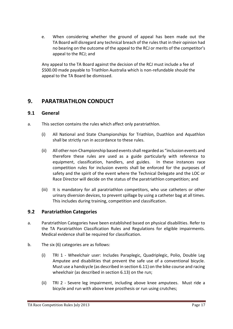e. When considering whether the ground of appeal has been made out the TA Board will disregard any technical breach of the rules that in their opinion had no bearing on the outcome of the appeal to the RCJ or merits of the competitor's appeal to the RCJ; and

Any appeal to the TA Board against the decision of the RCJ must include a fee of \$500.00 made payable to Triathlon Australia which is non-refundable should the appeal to the TA Board be dismissed.

## <span id="page-17-0"></span>**9. PARATRIATHLON CONDUCT**

#### **9.1 General**

- a. This section contains the rules which affect only paratriathlon.
	- (i) All National and State Championships for Triathlon, Duathlon and Aquathlon shall be strictly run in accordance to these rules.
	- (ii) All other non-Championship based events shall regarded as "inclusion events and therefore these rules are used as a guide particularly with reference to equipment, classification, handlers, and guides. In these instances race competition rules for inclusion events shall be enforced for the purposes of safety and the spirit of the event where the Technical Delegate and the LOC or Race Director will decide on the status of the paratriathlon competition; and
	- (iii) It is mandatory for all paratriathlon competitors, who use catheters or other urinary diversion devices, to prevent spillage by using a catheter bag at all times. This includes during training, competition and classification.

#### **9.2 Paratriathlon Categories**

- a. Paratriathlon Categories have been established based on physical disabilities. Refer to the TA Paratriathlon Classification Rules and Regulations for eligible impairments. Medical evidence shall be required for classification.
- b. The six (6) categories are as follows:
	- (i) TRI 1 Wheelchair user: Includes Paraplegic, Quadriplegic, Polio, Double Leg Amputee and disabilities that prevent the safe use of a conventional bicycle. Must use a handcycle (as described in section 6.11) on the bike course and racing wheelchair (as described in section 6.13) on the run;
	- (ii) TRI 2 Severe leg impairment, including above knee amputees. Must ride a bicycle and run with above knee prosthesis or run using crutches;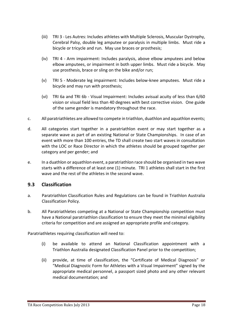- (iii) TRI 3 Les Autres: Includes athletes with Multiple Sclerosis, Muscular Dystrophy, Cerebral Palsy, double leg amputee or paralysis in multiple limbs. Must ride a bicycle or tricycle and run. May use braces or prosthesis;
- (iv) TRI 4 Arm impairment: Includes paralysis, above elbow amputees and below elbow amputees, or impairment in both upper limbs. Must ride a bicycle. May use prosthesis, brace or sling on the bike and/or run;
- (v) TRI 5 Moderate leg impairment: Includes below-knee amputees. Must ride a bicycle and may run with prosthesis;
- (vi) TRI 6a and TRI 6b Visual Impairment: Includes avisual acuity of less than 6/60 vision or visual field less than 40 degrees with best corrective vision. One guide of the same gender is mandatory throughout the race.
- c. All paratriathletes are allowed to compete in triathlon, duathlon and aquathlon events;
- d. All categories start together in a paratriathlon event or may start together as a separate wave as part of an existing National or State Championships. In case of an event with more than 100 entries, the TD shall create two start waves in consultation with the LOC or Race Director in which the athletes should be grouped together per category and per gender; and
- e. In a duathlon or aquathlon event, a paratriathlon race should be organised in two wave starts with a difference of at least one (1) minute. TRI 1 athletes shall start in the first wave and the rest of the athletes in the second wave.

#### **9.3 Classification**

- a. Paratriathlon Classification Rules and Regulations can be found in Triathlon Australia Classification Policy.
- b. All Paratriathletes competing at a National or State Championship competition must have a National paratriathlon classification to ensure they meet the minimal eligibility criteria for competition and are assigned an appropriate profile and category.

Paratriathletes requiring classification will need to:

- (i) be available to attend an National Classification appointment with a Triathlon Australia designated Classification Panel prior to the competition;
- (ii) provide, at time of classification, the "Certificate of Medical Diagnosis" or "Medical Diagnostic Form for Athletes with a Visual Impairment" signed by the appropriate medical personnel, a passport sized photo and any other relevant medical documentation; and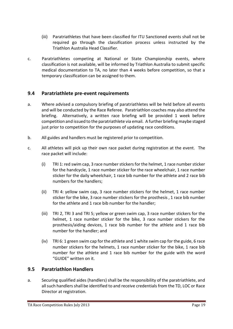- (iii) Paratriathletes that have been classified for ITU Sanctioned events shall not be required go through the classification process unless instructed by the Triathlon Australia Head Classifier.
- c. Paratriathletes competing at National or State Championship events, where classification is not available, will be informed by Triathlon Australia to submit specific medical documentation to TA, no later than 4 weeks before competition, so that a temporary classification can be assigned to them.

#### **9.4 Paratriathlete pre-event requirements**

- a. Where advised a compulsory briefing of paratriathletes will be held before all events and will be conducted by the Race Referee. Paratriathlon coaches may also attend the briefing. Alternatively, a written race briefing will be provided 1 week before competition and issued to the paratriathlete via email. A further briefing maybe staged just prior to competition for the purposes of updating race conditions.
- b. All guides and handlers must be registered prior to competition.
- c. All athletes will pick up their own race packet during registration at the event. The race packet will include:
	- (i) TRI 1: red swim cap, 3 race number stickers for the helmet, 1 race number sticker for the handcycle, 1 race number sticker for the race wheelchair, 1 race number sticker for the daily wheelchair, 1 race bib number for the athlete and 2 race bib numbers for the handlers;
	- (ii) TRI 4: yellow swim cap, 3 race number stickers for the helmet, 1 race number sticker for the bike, 3 race number stickers for the prosthesis , 1 race bib number for the athlete and 1 race bib number for the handler;
	- (iii) TRI 2, TRI 3 and TRI 5; yellow or green swim cap, 3 race number stickers for the helmet, 1 race number sticker for the bike, 3 race number stickers for the prosthesis/aiding devices, 1 race bib number for the athlete and 1 race bib number for the handler; and
	- (iv) TRI 6: 1 green swim cap for the athlete and 1 white swim cap for the guide, 6 race number stickers for the helmets, 1 race number sticker for the bike, 1 race bib number for the athlete and 1 race bib number for the guide with the word "GUIDE" written on it.

#### **9.5 Paratriathlon Handlers**

a. Securing qualified aides (handlers) shall be the responsibility of the paratriathlete, and all such handlers shall be identified to and receive credentials from the TD, LOC or Race Director at registration.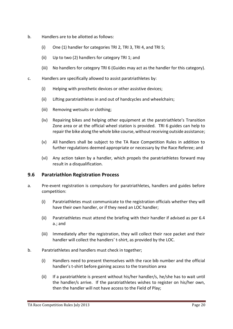- b. Handlers are to be allotted as follows:
	- (i) One (1) handler for categories TRI 2, TRI 3, TRI 4, and TRI 5;
	- (ii) Up to two (2) handlers for category TRI 1; and
	- (iii) No handlers for category TRI 6 (Guides may act as the handler for this category).
- c. Handlers are specifically allowed to assist paratriathletes by:
	- (i) Helping with prosthetic devices or other assistive devices;
	- (ii) Lifting paratriathletes in and out of handcycles and wheelchairs;
	- (iii) Removing wetsuits or clothing;
	- (iv) Repairing bikes and helping other equipment at the paratriathlete's Transition Zone area or at the official wheel station is provided. TRI 6 guides can help to repair the bike along the whole bike course, without receiving outside assistance;
	- (v) All handlers shall be subject to the TA Race Competition Rules in addition to further regulations deemed appropriate or necessary by the Race Referee; and
	- (vi) Any action taken by a handler, which propels the paratriathletes forward may result in a disqualification.

#### **9.6 Paratriathlon Registration Process**

- a. Pre-event registration is compulsory for paratriathletes, handlers and guides before competition:
	- (i) Paratriathletes must communicate to the registration officials whether they will have their own handler, or if they need an LOC handler;
	- (ii) Paratriathletes must attend the briefing with their handler if advised as per 6.4 a.; and
	- (iii) Immediately after the registration, they will collect their race packet and their handler will collect the handlers' t-shirt, as provided by the LOC.
- b. Paratriathletes and handlers must check in together;
	- (i) Handlers need to present themselves with the race bib number and the official handler's t-shirt before gaining access to the transition area
	- (ii) If a paratriathlete is present without his/her handler/s, he/she has to wait until the handler/s arrive. If the paratriathletes wishes to register on his/her own, then the handler will not have access to the Field of Play;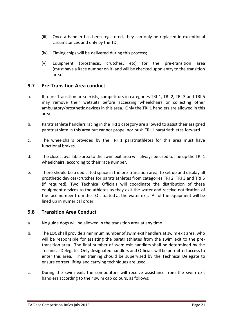- (iii) Once a handler has been registered, they can only be replaced in exceptional circumstances and only by the TD.
- (iv) Timing chips will be delivered during this process;
- (v) Equipment (prosthesis, crutches, etc) for the pre-transition area (must have a Race number on it) and will be checked upon entry to the transition area.

#### **9.7 Pre-Transition Area conduct**

- a. If a pre-Transition area exists, competitors in categories TRI 1, TRI 2, TRI 3 and TRI 5 may remove their wetsuits before accessing wheelchairs or collecting other ambulatory/prosthetic devices in this area. Only the TRI 1 handlers are allowed in this area.
- b. Paratriathlete handlers racing in the TRI 1 category are allowed to assist their assigned paratriathlete in this area but cannot propel nor push TRI 1 paratriathletes forward.
- c. The wheelchairs provided by the TRI 1 paratriathletes for this area must have functional brakes.
- d. The closest available area to the swim exit area will always be used to line up the TRI 1 wheelchairs, according to their race number.
- e. There should be a dedicated space in the pre-transition area, to set up and display all prosthetic devices/crutches for paratriathletes from categories TRI 2, TRI 3 and TRI 5 (if required). Two Technical Officials will coordinate the distribution of these equipment devices to the athletes as they exit the water and receive notification of the race number from the TO situated at the water exit. All of the equipment will be lined up in numerical order.

#### **9.8 Transition Area Conduct**

- a. No guide dogs will be allowed in the transition area at any time.
- b. The LOC shall provide a minimum number of swim exit handlers at swim exit area, who will be responsible for assisting the paratriathletes from the swim exit to the pretransition area. The final number of swim exit handlers shall be determined by the Technical Delegate. Only designated handlers and Officials will be permitted access to enter this area. Their training should be supervised by the Technical Delegate to ensure correct lifting and carrying techniques are used.
- c. During the swim exit, the competitors will receive assistance from the swim exit handlers according to their swim cap colours, as follows: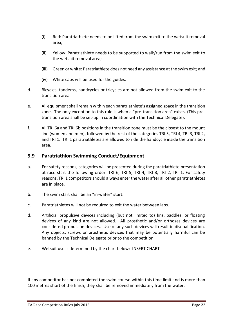- (i) Red: Paratriathlete needs to be lifted from the swim exit to the wetsuit removal area;
- (ii) Yellow: Paratriathlete needs to be supported to walk/run from the swim exit to the wetsuit removal area;
- (iii) Green or white: Paratriathlete does not need any assistance at the swim exit; and
- (iv) White caps will be used for the guides.
- d. Bicycles, tandems, handcycles or tricycles are not allowed from the swim exit to the transition area.
- e. All equipment shall remain within each paratriathlete's assigned space in the transition zone. The only exception to this rule is when a "pre-transition area" exists. (This pretransition area shall be set-up in coordination with the Technical Delegate).
- f. All TRI 6a and TRI 6b positions in the transition zone must be the closest to the mount line (women and men), followed by the rest of the categories TRI 5, TRI 4, TRI 3, TRI 2, and TRI 1. TRI 1 paratriathletes are allowed to ride the handcycle inside the transition area.

#### **9.9 Paratriathlon Swimming Conduct/Equipment**

- a. For safety reasons, categories will be presented during the paratriathlete presentation at race start the following order: TRI 6, TRI 5, TRI 4, TRI 3, TRI 2, TRI 1. For safety reasons, TRI 1 competitors should always enter the water after all other paratriathletes are in place.
- b. The swim start shall be an "in-water" start.
- c. Paratriathletes will not be required to exit the water between laps.
- d. Artificial propulsive devices including (but not limited to) fins, paddles, or floating devices of any kind are not allowed. All prosthetic and/or orthoses devices are considered propulsion devices. Use of any such devices will result in disqualification. Any objects, screws or prosthetic devices that may be potentially harmful can be banned by the Technical Delegate prior to the competition.
- e. Wetsuit use is determined by the chart below: INSERT CHART

If any competitor has not completed the swim course within this time limit and is more than 100 metres short of the finish, they shall be removed immediately from the water.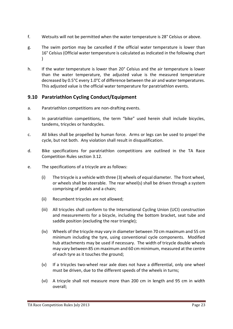- f. Wetsuits will not be permitted when the water temperature is 28° Celsius or above.
- g. The swim portion may be cancelled if the official water temperature is lower than 16° Celsius (Official water temperature is calculated as indicated in the following chart )
- h. If the water temperature is lower than 20° Celsius and the air temperature is lower than the water temperature, the adjusted value is the measured temperature decreased by 0.5°C every 1.0°C of difference between the air and water temperatures. This adjusted value is the official water temperature for paratriathlon events.

#### **9.10 Paratriathlon Cycling Conduct/Equipment**

- a. Paratriathlon competitions are non-drafting events.
- b. In paratriathlon competitions, the term "bike" used herein shall include bicycles, tandems, tricycles or handcycles.
- c. All bikes shall be propelled by human force. Arms or legs can be used to propel the cycle, but not both. Any violation shall result in disqualification.
- d. Bike specifications for paratriathlon competitions are outlined in the TA Race Competition Rules section 3.12.
- e. The specifications of a tricycle are as follows:
	- (i) The tricycle is a vehicle with three (3) wheels of equal diameter. The front wheel, or wheels shall be steerable. The rear wheel(s) shall be driven through a system comprising of pedals and a chain;
	- (ii) Recumbent tricycles are not allowed;
	- (iii) All tricycles shall conform to the International Cycling Union (UCI) construction and measurements for a bicycle, including the bottom bracket, seat tube and saddle position (excluding the rear triangle);
	- (iv) Wheels of the tricycle may vary in diameter between 70 cm maximum and 55 cm minimum including the tyre, using conventional cycle components. Modified hub attachments may be used if necessary. The width of tricycle double wheels may vary between 85 cm maximum and 60 cm minimum, measured at the centre of each tyre as it touches the ground;
	- (v) If a tricycles two-wheel rear axle does not have a differential, only one wheel must be driven, due to the different speeds of the wheels in turns;
	- (vi) A tricycle shall not measure more than 200 cm in length and 95 cm in width overall;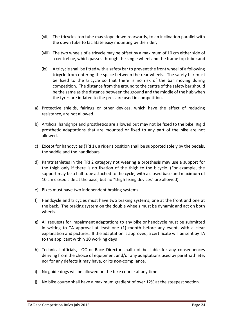- (vii) The tricycles top tube may slope down rearwards, to an inclination parallel with the down tube to facilitate easy mounting by the rider;
- (viii) The two wheels of a tricycle may be offset by a maximum of 10 cm either side of a centreline, which passes through the single wheel and the frame top tube; and
- (ix) A tricycle shall be fitted with a safety bar to prevent the front wheel of a following tricycle from entering the space between the rear wheels. The safety bar must be fixed to the tricycle so that there is no risk of the bar moving during competition. The distance from the ground to the centre of the safety bar should be the same as the distance between the ground and the middle of the hub when the tyres are inflated to the pressure used in competition.
- a) Protective shields, fairings or other devices, which have the effect of reducing resistance, are not allowed.
- b) Artificial handgrips and prosthetics are allowed but may not be fixed to the bike. Rigid prosthetic adaptations that are mounted or fixed to any part of the bike are not allowed.
- c) Except for handcycles (TRI 1), a rider's position shall be supported solely by the pedals, the saddle and the handlebars.
- d) Paratriathletes in the TRI 2 category not wearing a prosthesis may use a support for the thigh only if there is no fixation of the thigh to the bicycle. (For example, the support may be a half tube attached to the cycle, with a closed base and maximum of 10 cm closed side at the base, but no "thigh fixing devices" are allowed).
- e) Bikes must have two independent braking systems.
- f) Handcycle and tricycles must have two braking systems, one at the front and one at the back. The braking system on the double wheels must be dynamic and act on both wheels.
- g) All requests for impairment adaptations to any bike or handcycle must be submitted in writing to TA approval at least one (1) month before any event, with a clear explanation and pictures. If the adaptation is approved, a certificate will be sent by TA to the applicant within 10 working days
- h) Technical officials, LOC or Race Director shall not be liable for any consequences deriving from the choice of equipment and/or any adaptations used by paratriathlete, nor for any defects it may have, or its non-compliance.
- i) No guide dogs will be allowed on the bike course at any time.
- j) No bike course shall have a maximum gradient of over 12% at the steepest section.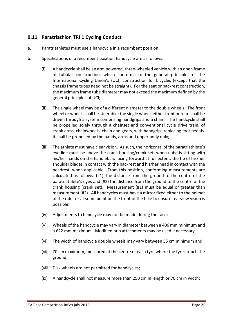#### **9.11 Paratriathlon TRI 1 Cycling Conduct**

- a. Paratriathletes must use a handcycle in a recumbent position.
- b. Specifications of a recumbent position handcycle are as follows:
	- (i) A handcycle shall be an arm powered, three-wheeled vehicle with an open frame of tubular construction, which conforms to the general principles of the International Cycling Union's (UCI) construction for bicycles (except that the chassis frame tubes need not be straight). For the seat or backrest construction, the maximum frame tube diameter may not exceed the maximum defined by the general principles of UCI;
	- (ii) The single wheel may be of a different diameter to the double wheels. The front wheel or wheels shall be steerable; the single wheel, either front or rear, shall be driven through a system comprising handgrips and a chain. The handcycle shall be propelled solely through a chainset and conventional cycle drive train, of crank arms, chainwheels, chain and gears, with handgrips replacing foot pedals. It shall be propelled by the hands, arms and upper body only;
	- (iii) The athlete must have clear vision. As such, the horizontal of the paratriathlete's eye line must be above the crank housing/crank set, when (s)he is sitting with his/her hands on the handlebars facing forward at full extent, the tip of his/her shoulder blades in contact with the backrest and his/her head in contact with the headrest, when applicable. From this position, conforming measurements are calculated as follows: (#1) The distance from the ground to the centre of the paratriathlete's eyes and (#2) the distance from the ground to the centre of the crank housing (crank set). Measurement (#1) must be equal or greater than measurement (#2). All handcycles must have a mirror fixed either to the helmet of the rider or at some point on the front of the bike to ensure rearview vision is possible;
	- (iv) Adjustments to handcycle may not be made during the race;
	- (v) Wheels of the handcycle may vary in diameter between a 406 mm minimum and a 622 mm maximum. Modified hub attachments may be used if necessary.
	- (vi) The width of handcycle double wheels may vary between 55 cm minimum and
	- (vii) 70 cm maximum, measured at the centre of each tyre where the tyres touch the ground;
	- (viii) Disk wheels are not permitted for handcycles;
	- (ix) A handcycle shall not measure more than 250 cm in length or 70 cm in width;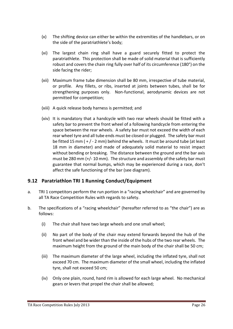- (x) The shifting device can either be within the extremities of the handlebars, or on the side of the paratriathlete's body;
- (xi) The largest chain ring shall have a guard securely fitted to protect the paratriathlete. This protection shall be made of solid material that is sufficiently robust and covers the chain ring fully over half of its circumference (180°) on the side facing the rider;
- (xii) Maximum frame tube dimension shall be 80 mm, irrespective of tube material, or profile. Any fillets, or ribs, inserted at joints between tubes, shall be for strengthening purposes only. Non-functional, aerodynamic devices are not permitted for competition;
- (xiii) A quick release body harness is permitted; and
- (xiv) It is mandatory that a handcycle with two rear wheels should be fitted with a safety bar to prevent the front wheel of a following handcycle from entering the space between the rear wheels. A safety bar must not exceed the width of each rear wheel tyre and all tube ends must be closed or plugged. The safety bar must be fitted 15 mm ( $+/-2$  mm) behind the wheels. It must be around tube (at least 18 mm in diameter) and made of adequately solid material to resist impact without bending or breaking. The distance between the ground and the bar axis must be 280 mm (+/- 10 mm). The structure and assembly of the safety bar must guarantee that normal bumps, which may be experienced during a race, don't affect the safe functioning of the bar (see diagram).

#### **9.12 Paratriathlon TRI 1 Running Conduct/Equipment**

- a. TRI 1 competitors perform the run portion in a "racing wheelchair" and are governed by all TA Race Competition Rules with regards to safety.
- b. The specifications of a "racing wheelchair" (hereafter referred to as "the chair") are as follows:
	- (i) The chair shall have two large wheels and one small wheel;
	- (ii) No part of the body of the chair may extend forwards beyond the hub of the front wheel and be wider than the inside of the hubs of the two rear wheels. The maximum height from the ground of the main body of the chair shall be 50 cm;
	- (iii) The maximum diameter of the large wheel, including the inflated tyre, shall not exceed 70 cm. The maximum diameter of the small wheel, including the inflated tyre, shall not exceed 50 cm;
	- (iv) Only one plain, round, hand rim is allowed for each large wheel. No mechanical gears or levers that propel the chair shall be allowed;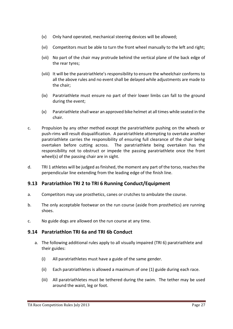- (v) Only hand operated, mechanical steering devices will be allowed;
- (vi) Competitors must be able to turn the front wheel manually to the left and right;
- (vii) No part of the chair may protrude behind the vertical plane of the back edge of the rear tyres;
- (viii) It will be the paratriathlete's responsibility to ensure the wheelchair conforms to all the above rules and no event shall be delayed while adjustments are made to the chair;
- (ix) Paratriathlete must ensure no part of their lower limbs can fall to the ground during the event;
- (x) Paratriathlete shall wear an approved bike helmet at all times while seated in the chair.
- c. Propulsion by any other method except the paratriathlete pushing on the wheels or push-rims will result disqualification. A paratriathlete attempting to overtake another paratriathlete carries the responsibility of ensuring full clearance of the chair being overtaken before cutting across. The paratriathlete being overtaken has the responsibility not to obstruct or impede the passing paratriathlete once the front wheel(s) of the passing chair are in sight.
- d. TRI 1 athletes will be judged as finished, the moment any part of the torso, reaches the perpendicular line extending from the leading edge of the finish line.

#### **9.13 Paratriathlon TRI 2 to TRI 6 Running Conduct/Equipment**

- a. Competitors may use prosthetics, canes or crutches to ambulate the course.
- b. The only acceptable footwear on the run course (aside from prosthetics) are running shoes.
- c. No guide dogs are allowed on the run course at any time.

#### **9.14 Paratriathlon TRI 6a and TRI 6b Conduct**

- a. The following additional rules apply to all visually impaired (TRI 6) paratriathlete and their guides:
	- (i) All paratriathletes must have a guide of the same gender.
	- (ii) Each paratriathletes is allowed a maximum of one (1) guide during each race.
	- (iii) All paratriathletes must be tethered during the swim. The tether may be used around the waist, leg or foot.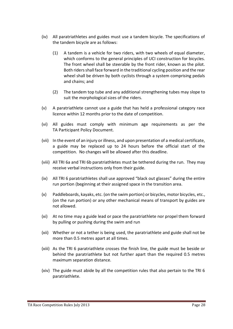- (iv) All paratriathletes and guides must use a tandem bicycle. The specifications of the tandem bicycle are as follows:
	- (1) A tandem is a vehicle for two riders, with two wheels of equal diameter, which conforms to the general principles of UCI construction for bicycles. The front wheel shall be steerable by the front rider, known as the pilot. Both riders shall face forward in the traditional cycling position and the rear wheel shall be driven by both cyclists through a system comprising pedals and chains; and
	- (2) The tandem top tube and any additional strengthening tubes may slope to suit the morphological sizes of the riders.
- (v) A paratriathlete cannot use a guide that has held a professional category race licence within 12 months prior to the date of competition.
- (vi) All guides must comply with minimum age requirements as per the TA Participant Policy Document.
- (vii) In the event of an injury or illness, and upon presentation of a medical certificate, a guide may be replaced up to 24 hours before the official start of the competition. No changes will be allowed after this deadline.
- (viii) All TRI 6a and TRI 6b paratriathletes must be tethered during the run. They may receive verbal instructions only from their guide.
- (ix) All TRI 6 paratriathletes shall use approved "black out glasses" during the entire run portion (beginning at their assigned space in the transition area.
- (x) Paddleboards, kayaks, etc. (on the swim portion) or bicycles, motor bicycles, etc., (on the run portion) or any other mechanical means of transport by guides are not allowed.
- (xi) At no time may a guide lead or pace the paratriathlete nor propel them forward by pulling or pushing during the swim and run
- (xii) Whether or not a tether is being used, the paratriathlete and guide shall not be more than 0.5 metres apart at all times.
- (xiii) As the TRI 6 paratriathlete crosses the finish line, the guide must be beside or behind the paratriathlete but not further apart than the required 0.5 metres maximum separation distance.
- (xiv) The guide must abide by all the competition rules that also pertain to the TRI 6 paratriathlete.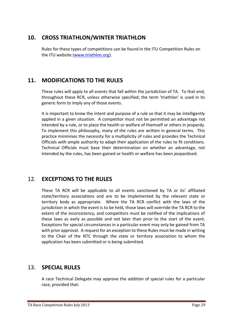## <span id="page-29-0"></span>**10. CROSS TRIATHLON/WINTER TRIATHLON**

Rules for these types of competitions can be found in the ITU Competition Rules on the ITU website [\(www.triathlon.org\)](http://www.triathlon.org/).

## <span id="page-29-1"></span>**11. MODIFICATIONS TO THE RULES**

These rules will apply to all events that fall within the jurisdiction of TA. To that end, throughout these RCR, unless otherwise specified, the term 'triathlon' is used in its generic form to imply any of those events.

It is important to know the intent and purpose of a rule so that it may be intelligently applied in a given situation. A competitor must not be permitted an advantage not intended by a rule, or to place the health or welfare of themself or others in jeopardy. To implement this philosophy, many of the rules are written in general terms. This practice minimises the necessity for a multiplicity of rules and provides the Technical Officials with ample authority to adapt their application of the rules to fit conditions. Technical Officials must base their determination on whether an advantage, not intended by the rules, has been gained or health or welfare has been jeopardised.

## <span id="page-29-2"></span>12. **EXCEPTIONS TO THE RULES**

These TA RCR will be applicable to all events sanctioned by TA or its' affiliated state/territory associations and are to be implemented by the relevant state or territory body as appropriate. Where the TA RCR conflict with the laws of the jurisdiction in which the event is to be held, those laws will override the TA RCR to the extent of the inconsistency, and competitors must be notified of the implications of these laws as early as possible and not later than prior to the start of the event. Exceptions for special circumstances in a particular event may only be gained from TA with prior approval. A request for an exception to these Rules must be made in writing to the Chair of the NTC through the state or territory association to whom the application has been submitted or is being submitted.

## <span id="page-29-3"></span>13. **SPECIAL RULES**

A race Technical Delegate may approve the addition of special rules for a particular race, provided that: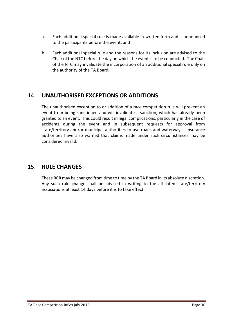- a. Each additional special rule is made available in written form and is announced to the participants before the event; and
- b. Each additional special rule and the reasons for its inclusion are advised to the Chair of the NTC before the day on which the event is to be conducted. The Chair of the NTC may invalidate the incorporation of an additional special rule only on the authority of the TA Board.

## <span id="page-30-0"></span>14. **UNAUTHORISED EXCEPTIONS OR ADDITIONS**

The unauthorised exception to or addition of a race competition rule will prevent an event from being sanctioned and will invalidate a sanction, which has already been granted to an event. This could result in legal complications, particularly in the case of accidents during the event and in subsequent requests for approval from state/territory and/or municipal authorities to use roads and waterways. Insurance authorities have also warned that claims made under such circumstances may be considered invalid.

## <span id="page-30-1"></span>15. **RULE CHANGES**

These RCR may be changed from time to time by the TA Board in its absolute discretion. Any such rule change shall be advised in writing to the affiliated state/territory associations at least 14 days before it is to take effect.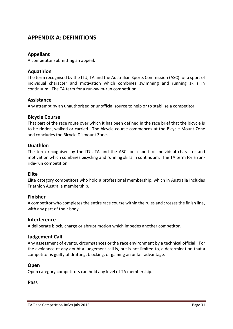## <span id="page-31-0"></span>**APPENDIX A: DEFINITIONS**

#### **Appellant**

A competitor submitting an appeal.

#### **Aquathlon**

The term recognised by the ITU, TA and the Australian Sports Commission (ASC) for a sport of individual character and motivation which combines swimming and running skills in continuum. The TA term for a run-swim-run competition.

#### **Assistance**

Any attempt by an unauthorised or unofficial source to help or to stabilise a competitor.

#### **Bicycle Course**

That part of the race route over which it has been defined in the race brief that the bicycle is to be ridden, walked or carried. The bicycle course commences at the Bicycle Mount Zone and concludes the Bicycle Dismount Zone.

#### **Duathlon**

The term recognised by the ITU, TA and the ASC for a sport of individual character and motivation which combines bicycling and running skills in continuum. The TA term for a runride-run competition.

#### **Elite**

Elite category competitors who hold a professional membership, which in Australia includes Triathlon Australia membership.

#### **Finisher**

A competitor who completes the entire race course within the rules and crosses the finish line, with any part of their body.

#### **Interference**

A deliberate block, charge or abrupt motion which impedes another competitor.

#### **Judgement Call**

Any assessment of events, circumstances or the race environment by a technical official. For the avoidance of any doubt a judgement call is, but is not limited to, a determination that a competitor is guilty of drafting, blocking, or gaining an unfair advantage.

#### **Open**

Open category competitors can hold any level of TA membership.

#### **Pass**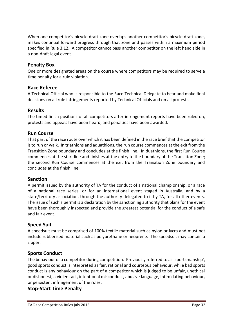When one competitor's bicycle draft zone overlaps another competitor's bicycle draft zone, makes continual forward progress through that zone and passes within a maximum period specified in Rule 3.12. A competitor cannot pass another competitor on the left hand side in a non-draft legal event.

#### **Penalty Box**

One or more designated areas on the course where competitors may be required to serve a time penalty for a rule violation.

#### **Race Referee**

A Technical Official who is responsible to the Race Technical Delegate to hear and make final decisions on all rule infringements reported by Technical Officials and on all protests.

#### **Results**

The timed finish positions of all competitors after infringement reports have been ruled on, protests and appeals have been heard, and penalties have been awarded.

#### **Run Course**

That part of the race route over which it has been defined in the race brief that the competitor is to run or walk. In triathlons and aquathlons, the run course commences at the exit from the Transition Zone boundary and concludes at the finish line. In duathlons, the first Run Course commences at the start line and finishes at the entry to the boundary of the Transition Zone; the second Run Course commences at the exit from the Transition Zone boundary and concludes at the finish line.

#### **Sanction**

A permit issued by the authority of TA for the conduct of a national championship, or a race of a national race series, or for an international event staged in Australia, and by a state/territory association, through the authority delegated to it by TA, for all other events. The issue of such a permit is a declaration by the sanctioning authority that plans for the event have been thoroughly inspected and provide the greatest potential for the conduct of a safe and fair event.

#### **Speed Suit**

A speedsuit must be comprised of 100% textile material such as nylon or lycra and must not include rubberised material such as polyurethane or neoprene. The speedsuit may contain a zipper.

#### **Sports Conduct**

The behaviour of a competitor during competition. Previously referred to as 'sportsmanship', good sports conduct is interpreted as fair, rational and courteous behaviour, while bad sports conduct is any behaviour on the part of a competitor which is judged to be unfair, unethical or dishonest, a violent act, intentional misconduct, abusive language, intimidating behaviour, or persistent infringement of the rules.

#### **Stop-Start Time Penalty**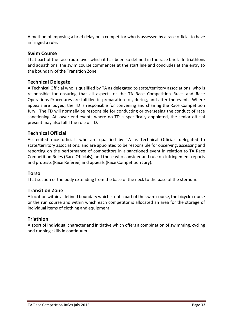A method of imposing a brief delay on a competitor who is assessed by a race official to have infringed a rule.

#### **Swim Course**

That part of the race route over which it has been so defined in the race brief. In triathlons and aquathlons, the swim course commences at the start line and concludes at the entry to the boundary of the Transition Zone.

#### **Technical Delegate**

A Technical Official who is qualified by TA as delegated to state/territory associations, who is responsible for ensuring that all aspects of the TA Race Competition Rules and Race Operations Procedures are fulfilled in preparation for, during, and after the event. Where appeals are lodged, the TD is responsible for convening and chairing the Race Competition Jury. The TD will normally be responsible for conducting or overseeing the conduct of race sanctioning. At lower end events where no TD is specifically appointed, the senior official present may also fulfil the role of TD.

#### **Technical Official**

Accredited race officials who are qualified by TA as Technical Officials delegated to state/territory associations, and are appointed to be responsible for observing, assessing and reporting on the performance of competitors in a sanctioned event in relation to TA Race Competition Rules (Race Officials), and those who consider and rule on infringement reports and protests (Race Referee) and appeals (Race Competition Jury).

#### **Torso**

That section of the body extending from the base of the neck to the base of the sternum.

#### **Transition Zone**

A location within a defined boundary which is not a part of the swim course, the bicycle course or the run course and within which each competitor is allocated an area for the storage of individual items of clothing and equipment.

#### **Triathlon**

A sport of **individual** character and initiative which offers a combination of swimming, cycling and running skills in continuum.